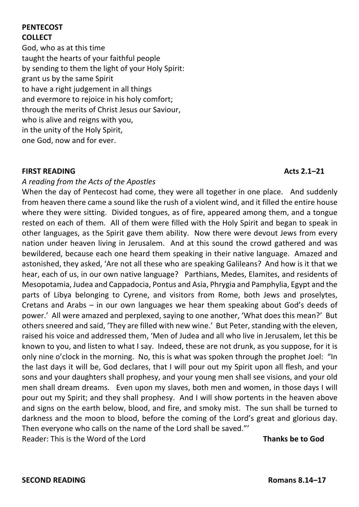# **PENTECOST COLLECT**

God, who as at this time taught the hearts of your faithful people by sending to them the light of your Holy Spirit: grant us by the same Spirit to have a right judgement in all things and evermore to rejoice in his holy comfort; through the merits of Christ Jesus our Saviour, who is alive and reigns with you, in the unity of the Holy Spirit, one God, now and for ever.

# **FIRST READING** Acts 2.1–21

*A reading from the Acts of the Apostles*

When the day of Pentecost had come, they were all together in one place. And suddenly from heaven there came a sound like the rush of a violent wind, and it filled the entire house where they were sitting. Divided tongues, as of fire, appeared among them, and a tongue rested on each of them. All of them were filled with the Holy Spirit and began to speak in other languages, as the Spirit gave them ability. Now there were devout Jews from every nation under heaven living in Jerusalem. And at this sound the crowd gathered and was bewildered, because each one heard them speaking in their native language. Amazed and astonished, they asked, 'Are not all these who are speaking Galileans? And how is it that we hear, each of us, in our own native language? Parthians, Medes, Elamites, and residents of Mesopotamia, Judea and Cappadocia, Pontus and Asia, Phrygia and Pamphylia, Egypt and the parts of Libya belonging to Cyrene, and visitors from Rome, both Jews and proselytes, Cretans and Arabs – in our own languages we hear them speaking about God's deeds of power.' All were amazed and perplexed, saying to one another, 'What does this mean?' But others sneered and said, 'They are filled with new wine.' But Peter, standing with the eleven, raised his voice and addressed them, 'Men of Judea and all who live in Jerusalem, let this be known to you, and listen to what I say. Indeed, these are not drunk, as you suppose, for it is only nine o'clock in the morning. No, this is what was spoken through the prophet Joel: "In the last days it will be, God declares, that I will pour out my Spirit upon all flesh, and your sons and your daughters shall prophesy, and your young men shall see visions, and your old men shall dream dreams. Even upon my slaves, both men and women, in those days I will pour out my Spirit; and they shall prophesy. And I will show portents in the heaven above and signs on the earth below, blood, and fire, and smoky mist. The sun shall be turned to darkness and the moon to blood, before the coming of the Lord's great and glorious day. Then everyone who calls on the name of the Lord shall be saved."' Reader: This is the Word of the Lord **Thanks be to God**